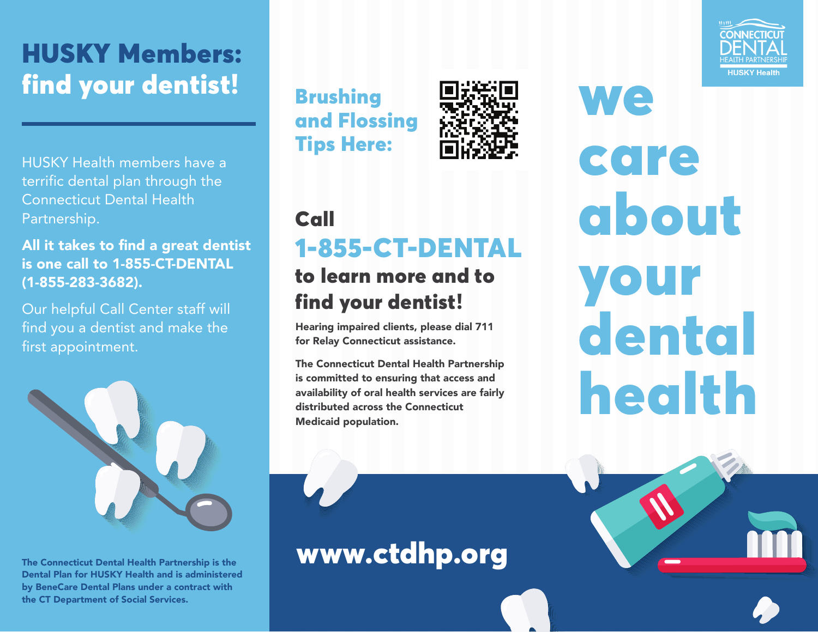# HUSKY Members: find your dentist!

HUSKY Health members have a terrific dental plan through the Connecticut Dental Health Partnership.

All it takes to find a great dentist is one call to 1-855-CT-DENTAL (1-855-283-3682).

Our helpful Call Center staff will find you a dentist and make the first appointment.



The Connecticut Dental Health Partnership is the Dental Plan for HUSKY Health and is administered by BeneCare Dental Plans under a contract with the CT Department of Social Services.





### Call 1-855-CT-DENTAL

### to learn more and to find your dentist!

Hearing impaired clients, please dial 711 for Relay Connecticut assistance.

The Connecticut Dental Health Partnership is committed to ensuring that access and availability of oral health services are fairly distributed across the Connecticut Medicaid population.

www.ctdhp.org



**We** care about your dental health